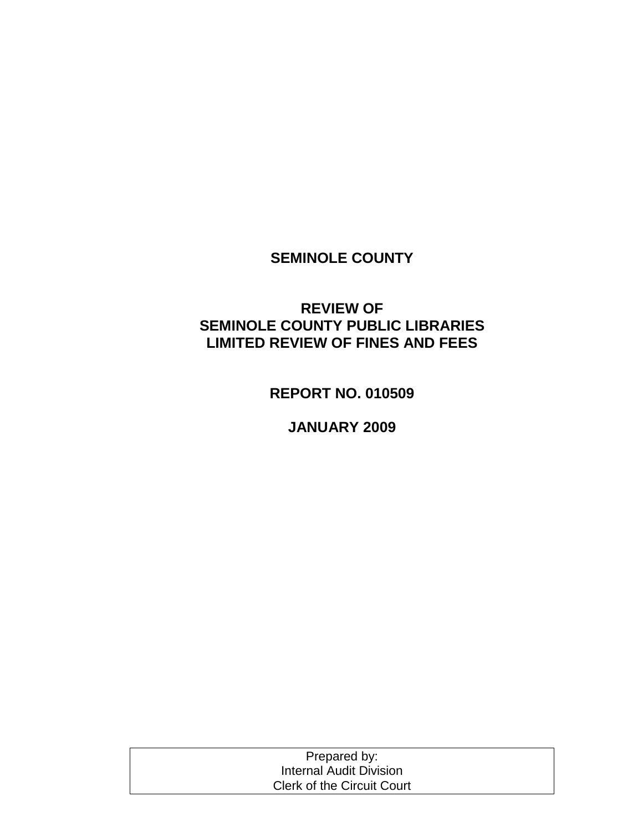## **SEMINOLE COUNTY**

## **REVIEW OF SEMINOLE COUNTY PUBLIC LIBRARIES LIMITED REVIEW OF FINES AND FEES**

**REPORT NO. 010509**

**JANUARY 2009**

| Prepared by:                      |  |
|-----------------------------------|--|
| Internal Audit Division           |  |
| <b>Clerk of the Circuit Court</b> |  |
|                                   |  |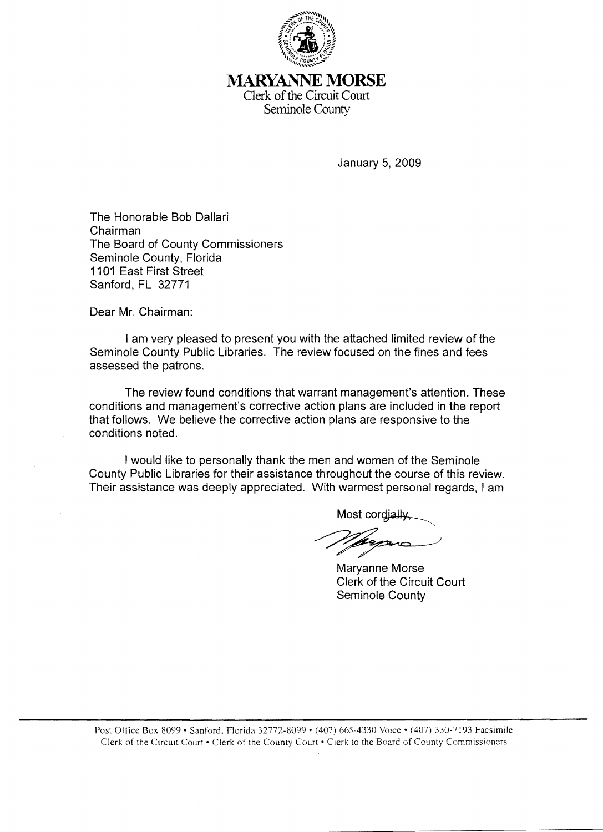

**MARYANNE MORSE**  Clerk of the Circuit Court Seminole County

January 5, 2009

The Honorable Bob Dallari Chairman The Board of County Commissioners Seminole County, Florida **1101** East First Street Sanford, FL 32771

Dear Mr. Chairman:

I am very pleased to present you with the attached limited review of the Seminole County Public Libraries. The review focused on the fines and fees assessed the patrons.

The review found conditions that warrant management's attention. These conditions and management's corrective action plans are included in the report that follows. We believe the corrective action plans are responsive to the conditions noted.

I would like to personally thank the men and women of the Seminole County Public Libraries for their assistance throughout the course of this review. Their assistance was deeply appreciated. With warmest personal regards, I am

Most cordially

Maryanne Morse Clerk of the Circuit Court Seminole County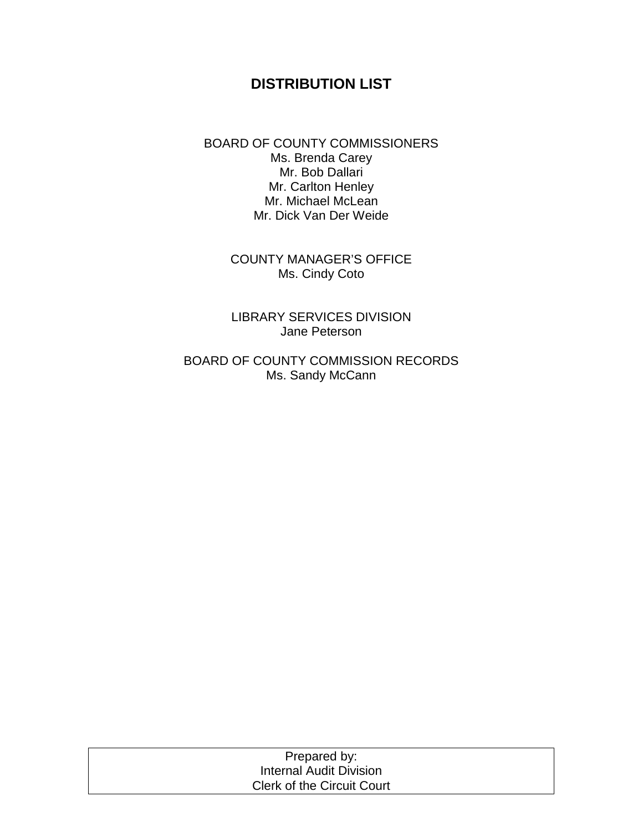## **DISTRIBUTION LIST**

BOARD OF COUNTY COMMISSIONERS Ms. Brenda Carey Mr. Bob Dallari Mr. Carlton Henley Mr. Michael McLean Mr. Dick Van Der Weide

> COUNTY MANAGER'S OFFICE Ms. Cindy Coto

> LIBRARY SERVICES DIVISION Jane Peterson

BOARD OF COUNTY COMMISSION RECORDS Ms. Sandy McCann

| Prepared by:                      |  |
|-----------------------------------|--|
| Internal Audit Division           |  |
| <b>Clerk of the Circuit Court</b> |  |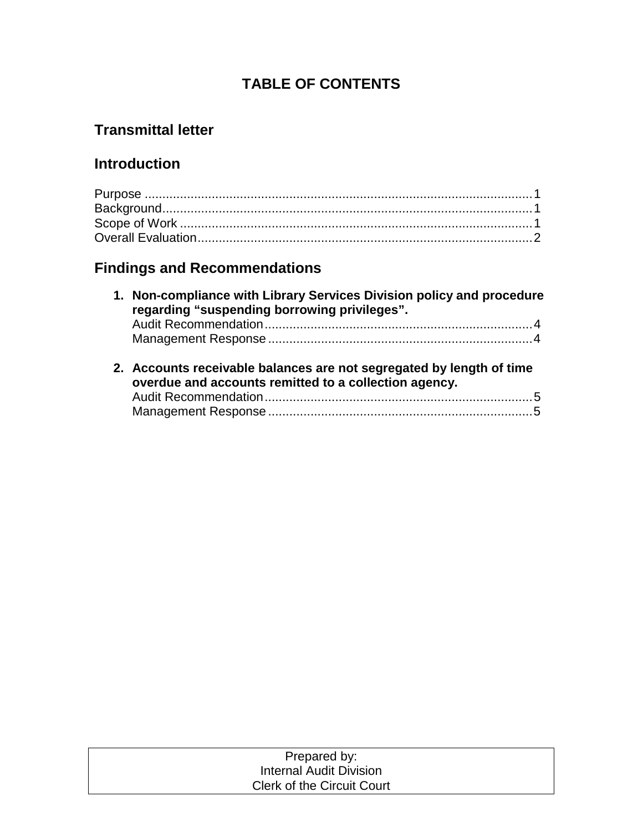## **TABLE OF CONTENTS**

## **Transmittal letter**

## **Introduction**

# **Findings and Recommendations**

| 1. Non-compliance with Library Services Division policy and procedure<br>regarding "suspending borrowing privileges".         |
|-------------------------------------------------------------------------------------------------------------------------------|
|                                                                                                                               |
|                                                                                                                               |
|                                                                                                                               |
| 2. Accounts receivable balances are not segregated by length of time<br>overdue and accounts remitted to a collection agency. |
|                                                                                                                               |

| Prepared by:                      |  |
|-----------------------------------|--|
| Internal Audit Division           |  |
| <b>Clerk of the Circuit Court</b> |  |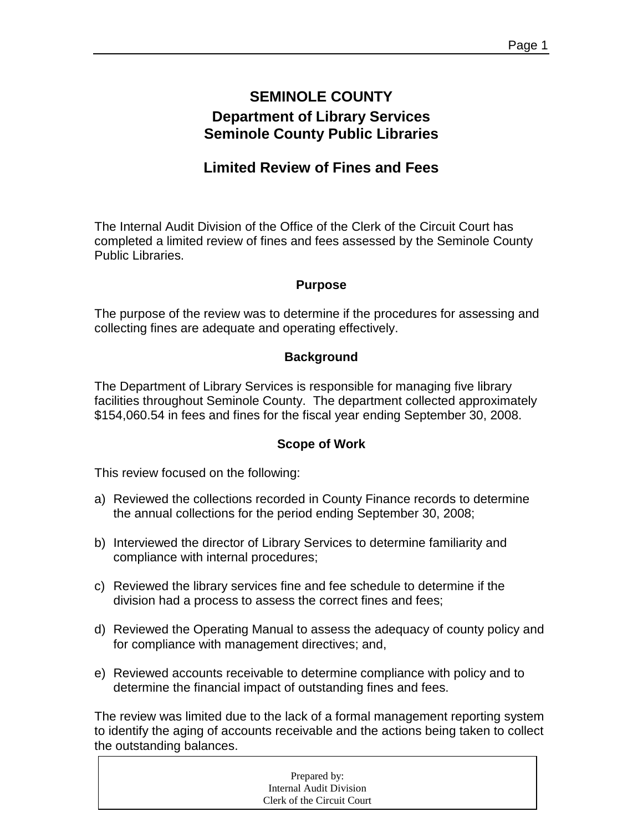## **SEMINOLE COUNTY Department of Library Services Seminole County Public Libraries**

## **Limited Review of Fines and Fees**

The Internal Audit Division of the Office of the Clerk of the Circuit Court has completed a limited review of fines and fees assessed by the Seminole County Public Libraries.

#### **Purpose**

The purpose of the review was to determine if the procedures for assessing and collecting fines are adequate and operating effectively.

#### **Background**

The Department of Library Services is responsible for managing five library facilities throughout Seminole County. The department collected approximately \$154,060.54 in fees and fines for the fiscal year ending September 30, 2008.

#### **Scope of Work**

This review focused on the following:

- a) Reviewed the collections recorded in County Finance records to determine the annual collections for the period ending September 30, 2008;
- b) Interviewed the director of Library Services to determine familiarity and compliance with internal procedures;
- c) Reviewed the library services fine and fee schedule to determine if the division had a process to assess the correct fines and fees;
- d) Reviewed the Operating Manual to assess the adequacy of county policy and for compliance with management directives; and,
- e) Reviewed accounts receivable to determine compliance with policy and to determine the financial impact of outstanding fines and fees.

The review was limited due to the lack of a formal management reporting system to identify the aging of accounts receivable and the actions being taken to collect the outstanding balances.

| Prepared by:               |
|----------------------------|
| Internal Audit Division    |
| Clerk of the Circuit Court |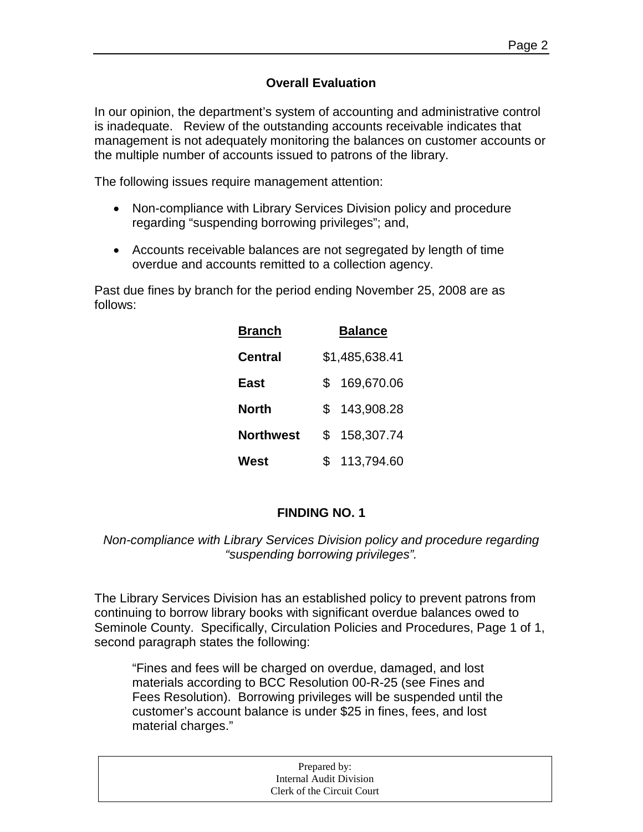#### **Overall Evaluation**

In our opinion, the department's system of accounting and administrative control is inadequate. Review of the outstanding accounts receivable indicates that management is not adequately monitoring the balances on customer accounts or the multiple number of accounts issued to patrons of the library.

The following issues require management attention:

- Non-compliance with Library Services Division policy and procedure regarding "suspending borrowing privileges"; and,
- Accounts receivable balances are not segregated by length of time overdue and accounts remitted to a collection agency.

Past due fines by branch for the period ending November 25, 2008 are as follows:

| <b>Branch</b> | <b>Balance</b> |                |
|---------------|----------------|----------------|
| Central       |                | \$1,485,638.41 |
| East          | S              | 169,670.06     |
| North         | \$.            | 143,908.28     |
| Northwest     | S              | 158,307.74     |
| West          | \$.            | 113,794.60     |

#### **FINDING NO. 1**

#### *Non-compliance with Library Services Division policy and procedure regarding "suspending borrowing privileges".*

The Library Services Division has an established policy to prevent patrons from continuing to borrow library books with significant overdue balances owed to Seminole County. Specifically, Circulation Policies and Procedures, Page 1 of 1, second paragraph states the following:

"Fines and fees will be charged on overdue, damaged, and lost materials according to BCC Resolution 00-R-25 (see Fines and Fees Resolution). Borrowing privileges will be suspended until the customer's account balance is under \$25 in fines, fees, and lost material charges."

| Prepared by:               |  |
|----------------------------|--|
| Internal Audit Division    |  |
| Clerk of the Circuit Court |  |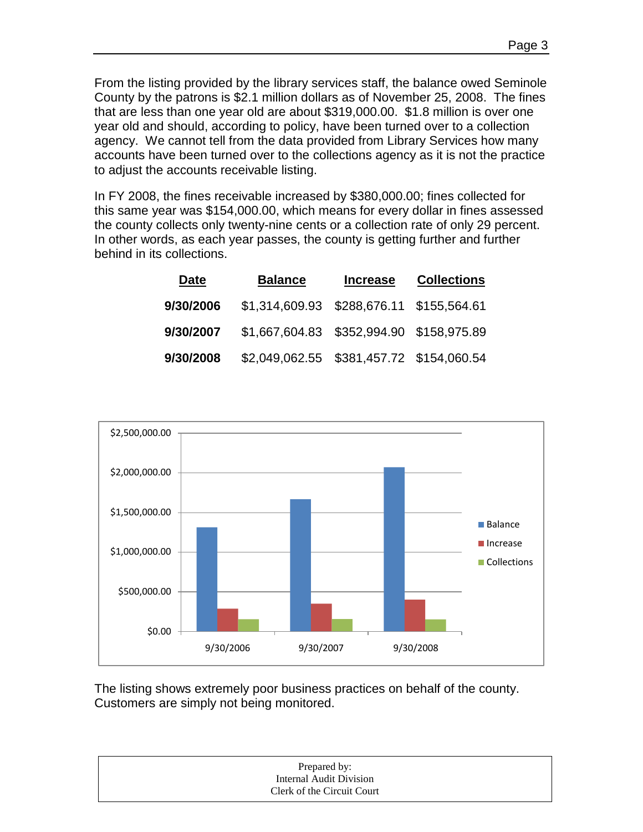From the listing provided by the library services staff, the balance owed Seminole County by the patrons is \$2.1 million dollars as of November 25, 2008. The fines that are less than one year old are about \$319,000.00. \$1.8 million is over one year old and should, according to policy, have been turned over to a collection agency. We cannot tell from the data provided from Library Services how many accounts have been turned over to the collections agency as it is not the practice to adjust the accounts receivable listing.

In FY 2008, the fines receivable increased by \$380,000.00; fines collected for this same year was \$154,000.00, which means for every dollar in fines assessed the county collects only twenty-nine cents or a collection rate of only 29 percent. In other words, as each year passes, the county is getting further and further behind in its collections.

| Date      | <b>Balance</b> | <b>Increase</b> | <b>Collections</b> |
|-----------|----------------|-----------------|--------------------|
| 9/30/2006 |                |                 |                    |
| 9/30/2007 |                |                 |                    |
| 9/30/2008 |                |                 |                    |



The listing shows extremely poor business practices on behalf of the county. Customers are simply not being monitored.

| Prepared by:               |  |
|----------------------------|--|
| Internal Audit Division    |  |
| Clerk of the Circuit Court |  |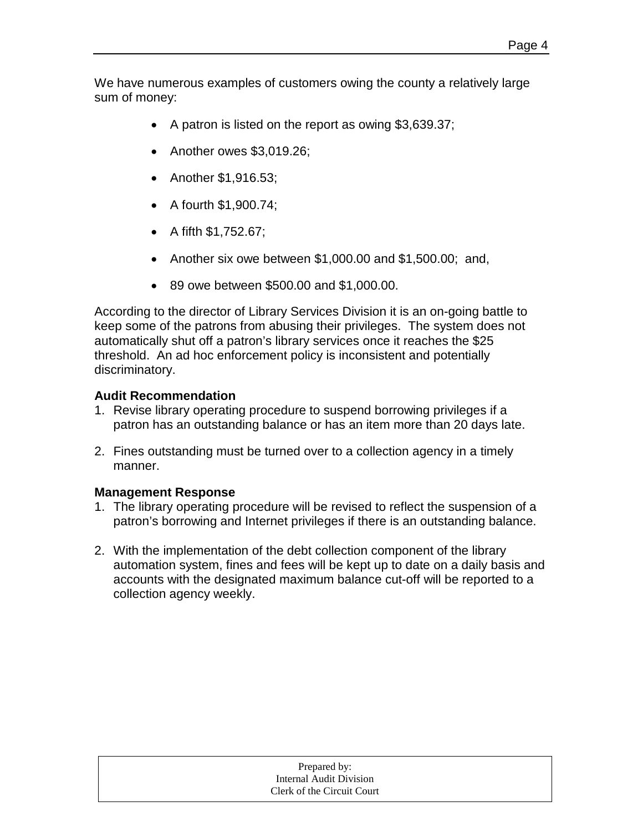We have numerous examples of customers owing the county a relatively large sum of money:

- A patron is listed on the report as owing \$3,639.37;
- Another owes \$3,019.26;
- Another \$1,916.53;
- A fourth \$1,900.74;
- A fifth \$1,752.67;
- Another six owe between \$1,000.00 and \$1,500.00; and,
- 89 owe between \$500.00 and \$1,000.00.

According to the director of Library Services Division it is an on-going battle to keep some of the patrons from abusing their privileges. The system does not automatically shut off a patron's library services once it reaches the \$25 threshold. An ad hoc enforcement policy is inconsistent and potentially discriminatory.

#### **Audit Recommendation**

- 1. Revise library operating procedure to suspend borrowing privileges if a patron has an outstanding balance or has an item more than 20 days late.
- 2. Fines outstanding must be turned over to a collection agency in a timely manner.

#### **Management Response**

- 1. The library operating procedure will be revised to reflect the suspension of a patron's borrowing and Internet privileges if there is an outstanding balance.
- 2. With the implementation of the debt collection component of the library automation system, fines and fees will be kept up to date on a daily basis and accounts with the designated maximum balance cut-off will be reported to a collection agency weekly.

|                            | Prepared by:            |  |
|----------------------------|-------------------------|--|
|                            | Internal Audit Division |  |
| Clerk of the Circuit Court |                         |  |